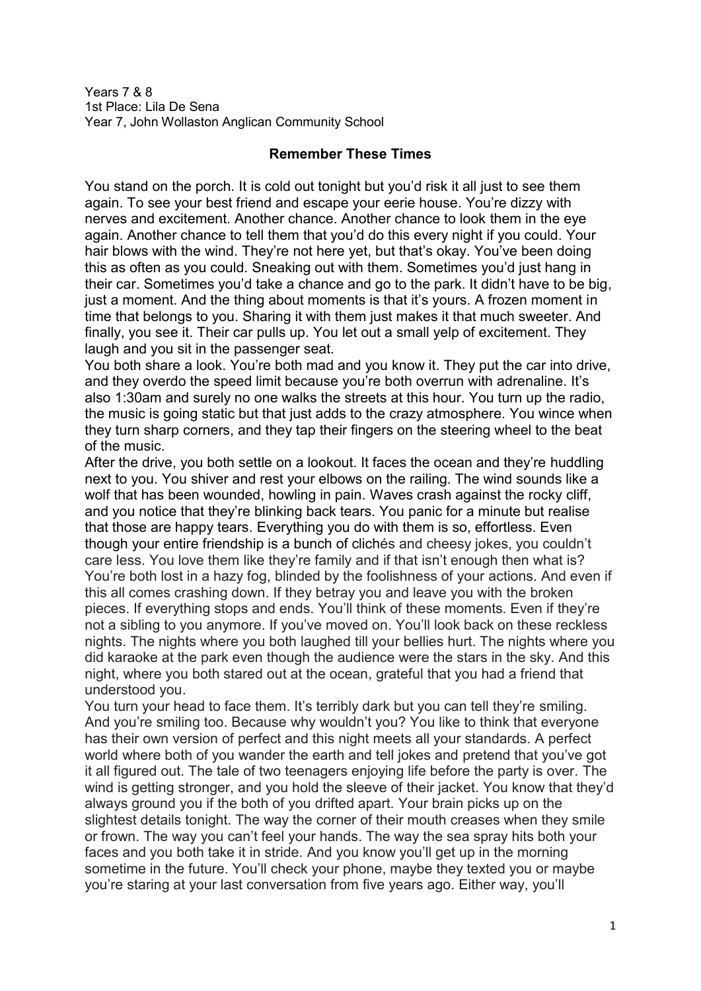Years 7 & 8 1st Place: Lila De Sena Year 7, John Wollaston Anglican Community School

## **Remember These Times**

You stand on the porch. It is cold out tonight but you'd risk it all just to see them again. To see your best friend and escape your eerie house. You're dizzy with nerves and excitement. Another chance. Another chance to look them in the eye again. Another chance to tell them that you'd do this every night if you could. Your hair blows with the wind. They're not here yet, but that's okay. You've been doing this as often as you could. Sneaking out with them. Sometimes you'd just hang in their car. Sometimes you'd take a chance and go to the park. It didn't have to be big, just a moment. And the thing about moments is that it's yours. A frozen moment in time that belongs to you. Sharing it with them just makes it that much sweeter. And finally, you see it. Their car pulls up. You let out a small yelp of excitement. They laugh and you sit in the passenger seat.

You both share a look. You're both mad and you know it. They put the car into drive, and they overdo the speed limit because you're both overrun with adrenaline. It's also 1:30am and surely no one walks the streets at this hour. You turn up the radio, the music is going static but that just adds to the crazy atmosphere. You wince when they turn sharp corners, and they tap their fingers on the steering wheel to the beat of the music.

After the drive, you both settle on a lookout. It faces the ocean and they're huddling next to you. You shiver and rest your elbows on the railing. The wind sounds like a wolf that has been wounded, howling in pain. Waves crash against the rocky cliff, and you notice that they're blinking back tears. You panic for a minute but realise that those are happy tears. Everything you do with them is so, effortless. Even though your entire friendship is a bunch of clichés and cheesy jokes, you couldn't care less. You love them like they're family and if that isn't enough then what is? You're both lost in a hazy fog, blinded by the foolishness of your actions. And even if this all comes crashing down. If they betray you and leave you with the broken pieces. If everything stops and ends. You'll think of these moments. Even if they're not a sibling to you anymore. If you've moved on. You'll look back on these reckless nights. The nights where you both laughed till your bellies hurt. The nights where you did karaoke at the park even though the audience were the stars in the sky. And this night, where you both stared out at the ocean, grateful that you had a friend that understood you.

You turn your head to face them. It's terribly dark but you can tell they're smiling. And you're smiling too. Because why wouldn't you? You like to think that everyone has their own version of perfect and this night meets all your standards. A perfect world where both of you wander the earth and tell jokes and pretend that you've got it all figured out. The tale of two teenagers enjoying life before the party is over. The wind is getting stronger, and you hold the sleeve of their jacket. You know that they'd always ground you if the both of you drifted apart. Your brain picks up on the slightest details tonight. The way the corner of their mouth creases when they smile or frown. The way you can't feel your hands. The way the sea spray hits both your faces and you both take it in stride. And you know you'll get up in the morning sometime in the future. You'll check your phone, maybe they texted you or maybe you're staring at your last conversation from five years ago. Either way, you'll